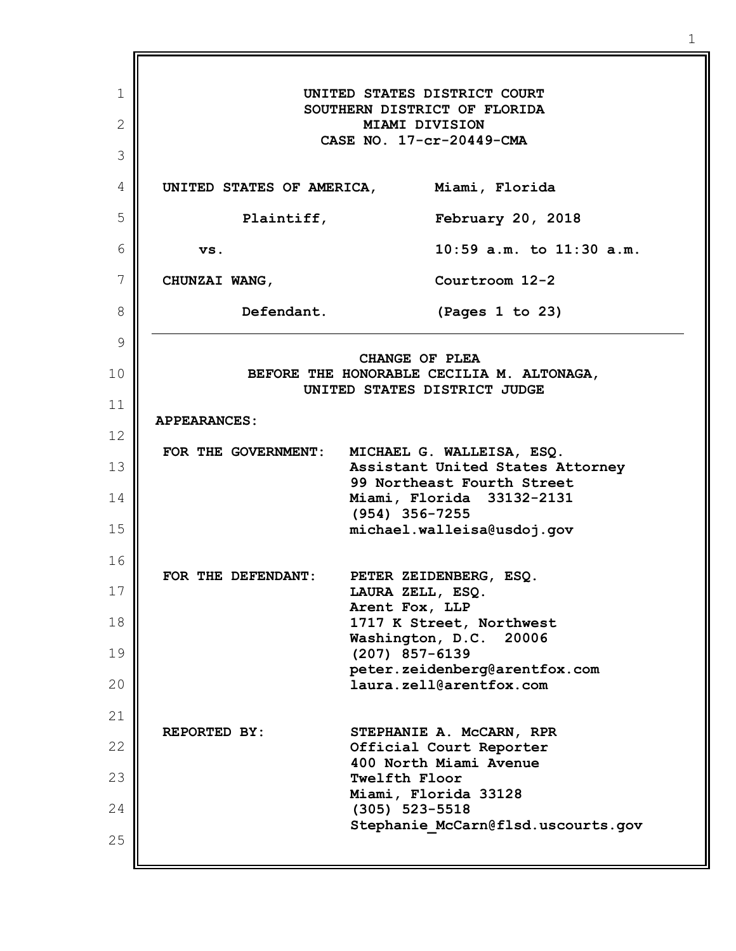1 2 3 4 5 6 7 8 9 10 11 12 13 14 15 16 17 18 19 20 21 22 23 24 25 **UNITED STATES DISTRICT COURT SOUTHERN DISTRICT OF FLORIDA MIAMI DIVISION CASE NO. 17-cr-20449-CMA UNITED STATES OF AMERICA, Plaintiff, vs. CHUNZAI WANG, Defendant. Miami, Florida February 20, 2018 10:59 a.m. to 11:30 a.m. Courtroom 12-2 (Pages 1 to 23) CHANGE OF PLEA BEFORE THE HONORABLE CECILIA M. ALTONAGA, UNITED STATES DISTRICT JUDGE APPEARANCES: FOR THE GOVERNMENT: MICHAEL G. WALLEISA, ESQ. Assistant United States Attorney 99 Northeast Fourth Street Miami, Florida 33132-2131 (954) 356-7255 michael.walleisa@usdoj.gov FOR THE DEFENDANT: PETER ZEIDENBERG, ESQ. LAURA ZELL, ESQ. Arent Fox, LLP 1717 K Street, Northwest Washington, D.C. 20006 (207) 857-6139 peter.zeidenberg@arentfox.com laura.zell@arentfox.com REPORTED BY: STEPHANIE A. McCARN, RPR Official Court Reporter 400 North Miami Avenue Twelfth Floor Miami, Florida 33128 (305) 523-5518 Stephanie\_McCarn@flsd.uscourts.gov**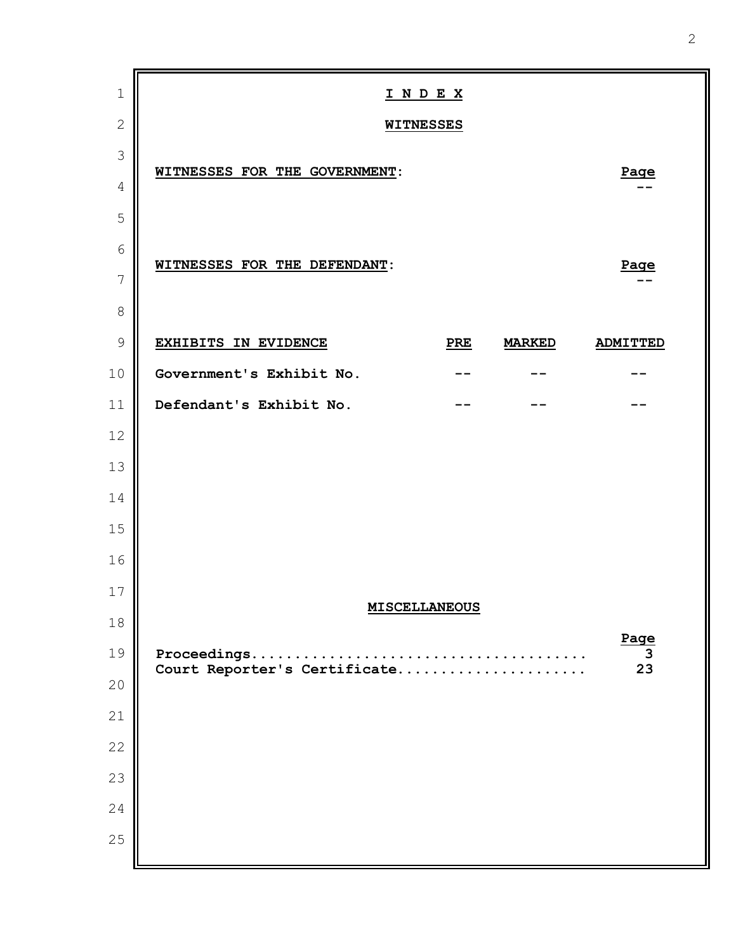| $\mathbf 1$    |                               | I N D E X            |               |                    |
|----------------|-------------------------------|----------------------|---------------|--------------------|
| $\sqrt{2}$     |                               | <b>WITNESSES</b>     |               |                    |
| 3              |                               |                      |               |                    |
| $\overline{4}$ | WITNESSES FOR THE GOVERNMENT: |                      |               | Page               |
| 5              |                               |                      |               |                    |
| $\sqrt{6}$     |                               |                      |               |                    |
| $\overline{7}$ | WITNESSES FOR THE DEFENDANT:  |                      |               | Page               |
| $\,8\,$        |                               |                      |               |                    |
| $\mathsf 9$    | EXHIBITS IN EVIDENCE          | PRE                  | <b>MARKED</b> | <b>ADMITTED</b>    |
| $10$           | Government's Exhibit No.      |                      |               |                    |
| 11             | Defendant's Exhibit No.       |                      |               |                    |
| 12             |                               |                      |               |                    |
| 13             |                               |                      |               |                    |
| 14             |                               |                      |               |                    |
| 15             |                               |                      |               |                    |
| 16             |                               |                      |               |                    |
| $17$           |                               | <b>MISCELLANEOUS</b> |               |                    |
| $18\,$         |                               |                      |               | Page               |
| 19             | Court Reporter's Certificate  |                      |               | $\mathbf{3}$<br>23 |
| 20             |                               |                      |               |                    |
| 21             |                               |                      |               |                    |
| 22             |                               |                      |               |                    |
| 23             |                               |                      |               |                    |
| 24             |                               |                      |               |                    |
| 25             |                               |                      |               |                    |
|                |                               |                      |               |                    |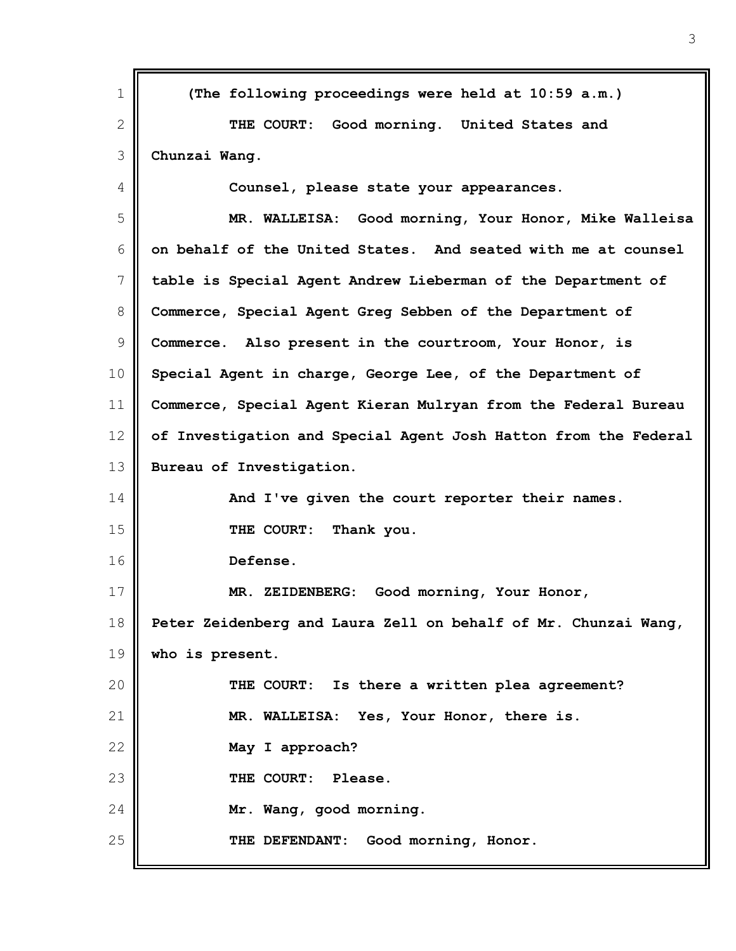| 1           | (The following proceedings were held at 10:59 a.m.)             |
|-------------|-----------------------------------------------------------------|
| 2           | THE COURT: Good morning. United States and                      |
| 3           | Chunzai Wang.                                                   |
| 4           | Counsel, please state your appearances.                         |
| 5           | MR. WALLEISA: Good morning, Your Honor, Mike Walleisa           |
| 6           | on behalf of the United States. And seated with me at counsel   |
| 7           | table is Special Agent Andrew Lieberman of the Department of    |
| 8           | Commerce, Special Agent Greg Sebben of the Department of        |
| $\mathsf 9$ | Commerce. Also present in the courtroom, Your Honor, is         |
| 10          | Special Agent in charge, George Lee, of the Department of       |
| 11          | Commerce, Special Agent Kieran Mulryan from the Federal Bureau  |
| 12          | of Investigation and Special Agent Josh Hatton from the Federal |
| 13          | Bureau of Investigation.                                        |
| 14          | And I've given the court reporter their names.                  |
| 15          | THE COURT:<br>Thank you.                                        |
| 16          | Defense.                                                        |
| 17          | MR. ZEIDENBERG: Good morning, Your Honor,                       |
| 18          | Peter Zeidenberg and Laura Zell on behalf of Mr. Chunzai Wang,  |
| 19          | who is present.                                                 |
| 20          | THE COURT: Is there a written plea agreement?                   |
| 21          | MR. WALLEISA: Yes, Your Honor, there is.                        |
| 22          | May I approach?                                                 |
| 23          | THE COURT: Please.                                              |
| 24          | Mr. Wang, good morning.                                         |
| 25          | THE DEFENDANT: Good morning, Honor.                             |
|             |                                                                 |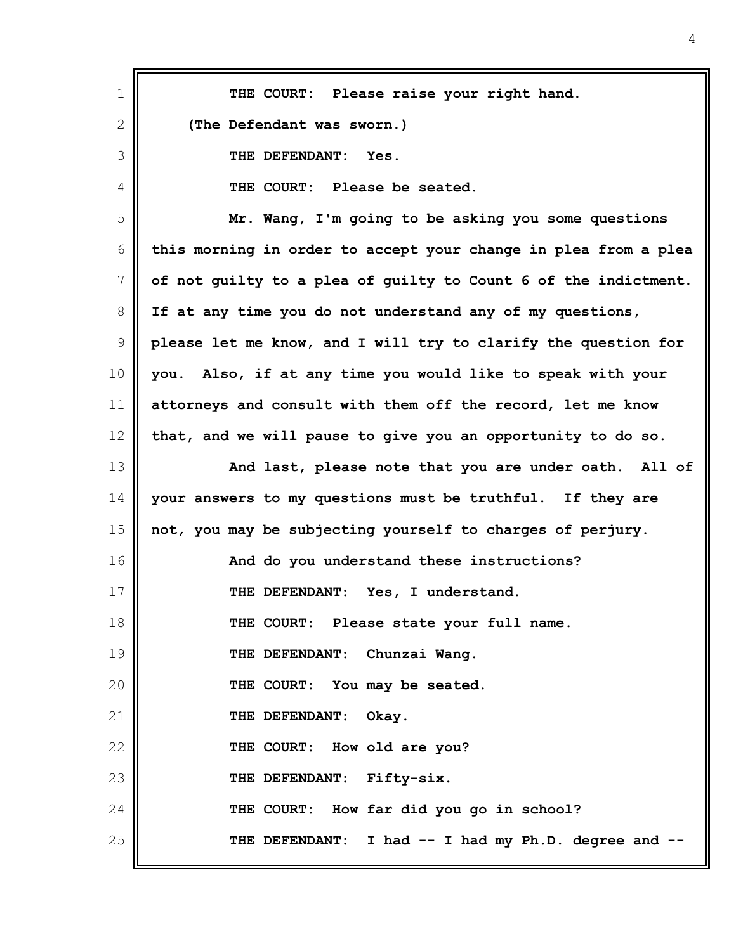| $1\,$          | THE COURT: Please raise your right hand.                        |
|----------------|-----------------------------------------------------------------|
| $\mathbf{2}$   | (The Defendant was sworn.)                                      |
| 3              | THE DEFENDANT:<br>Yes.                                          |
| 4              | THE COURT: Please be seated.                                    |
| 5              | Mr. Wang, I'm going to be asking you some questions             |
| 6              | this morning in order to accept your change in plea from a plea |
| $\overline{7}$ | of not guilty to a plea of guilty to Count 6 of the indictment. |
| 8              | If at any time you do not understand any of my questions,       |
| 9              | please let me know, and I will try to clarify the question for  |
| 10             | you. Also, if at any time you would like to speak with your     |
| 11             | attorneys and consult with them off the record, let me know     |
| 12             | that, and we will pause to give you an opportunity to do so.    |
| 13             | And last, please note that you are under oath. All of           |
| 14             | your answers to my questions must be truthful. If they are      |
| 15             | not, you may be subjecting yourself to charges of perjury.      |
| 16             | And do you understand these instructions?                       |
| 17             | THE DEFENDANT: Yes, I understand.                               |
| 18             | THE COURT: Please state your full name.                         |
| 19             | THE DEFENDANT: Chunzai Wang.                                    |
| 20             | THE COURT: You may be seated.                                   |
| 21             | THE DEFENDANT:<br>Okay.                                         |
| 22             | THE COURT: How old are you?                                     |
| 23             | THE DEFENDANT: Fifty-six.                                       |
| 24             | THE COURT: How far did you go in school?                        |
| 25             | THE DEFENDANT: I had -- I had my Ph.D. degree and --            |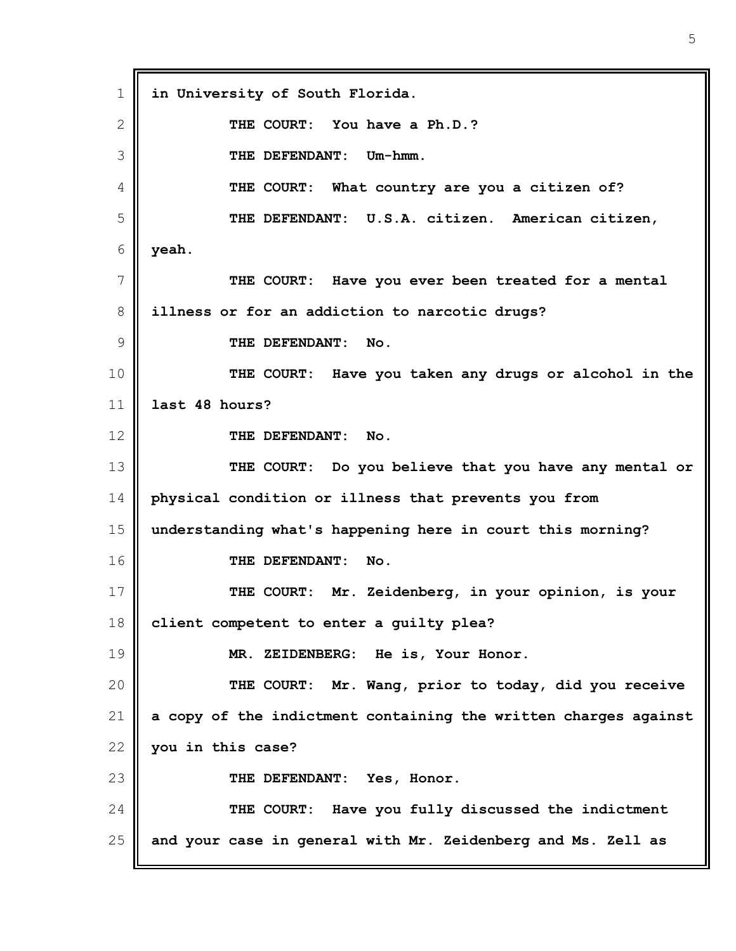1 2 3 4 5 6 7 8 9 10 11 12 13 14 15 16 17 18 19 20 21 22 23 24 25 **in University of South Florida. THE COURT: You have a Ph.D.? THE DEFENDANT: Um-hmm. THE COURT: What country are you a citizen of? THE DEFENDANT: U.S.A. citizen. American citizen, yeah. THE COURT: Have you ever been treated for a mental illness or for an addiction to narcotic drugs? THE DEFENDANT: No. THE COURT: Have you taken any drugs or alcohol in the last 48 hours? THE DEFENDANT: No. THE COURT: Do you believe that you have any mental or physical condition or illness that prevents you from understanding what's happening here in court this morning? THE DEFENDANT: No. THE COURT: Mr. Zeidenberg, in your opinion, is your client competent to enter a guilty plea? MR. ZEIDENBERG: He is, Your Honor. THE COURT: Mr. Wang, prior to today, did you receive a copy of the indictment containing the written charges against you in this case? THE DEFENDANT: Yes, Honor. THE COURT: Have you fully discussed the indictment and your case in general with Mr. Zeidenberg and Ms. Zell as**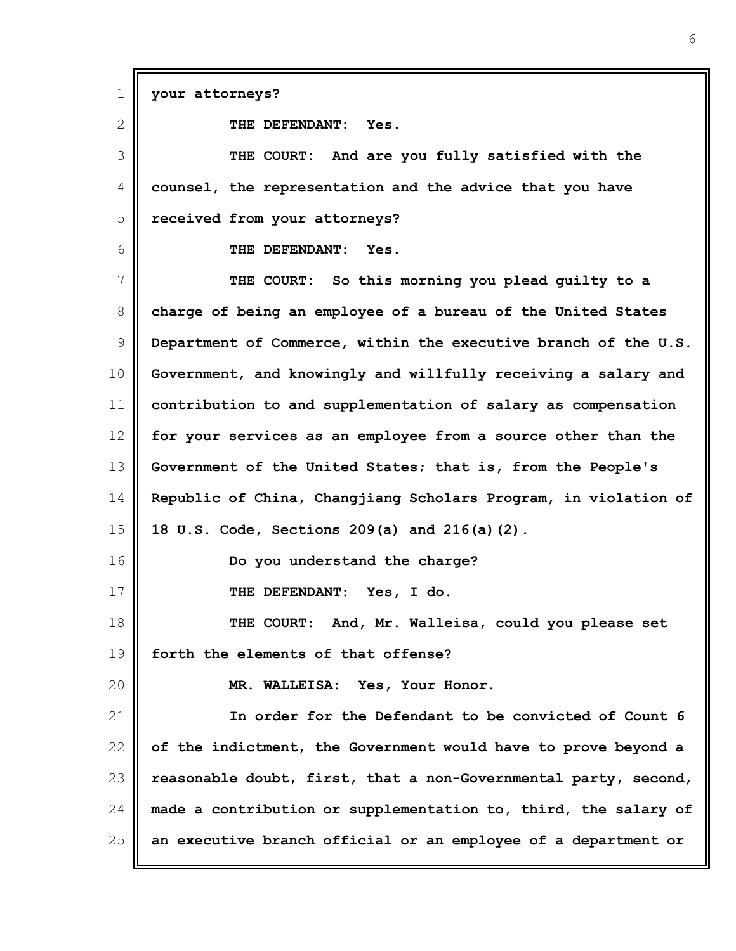1 2 3 4 5 6 7 8 9 10 11 12 13 14 15 16 17 18 19 20 21 22 23 24 25 **your attorneys? THE DEFENDANT: Yes. THE COURT: And are you fully satisfied with the counsel, the representation and the advice that you have received from your attorneys? THE DEFENDANT: Yes. THE COURT: So this morning you plead guilty to a charge of being an employee of a bureau of the United States Department of Commerce, within the executive branch of the U.S. Government, and knowingly and willfully receiving a salary and contribution to and supplementation of salary as compensation for your services as an employee from a source other than the Government of the United States; that is, from the People's Republic of China, Changjiang Scholars Program, in violation of 18 U.S. Code, Sections 209(a) and 216(a)(2). Do you understand the charge? THE DEFENDANT: Yes, I do. THE COURT: And, Mr. Walleisa, could you please set forth the elements of that offense? MR. WALLEISA: Yes, Your Honor. In order for the Defendant to be convicted of Count 6 of the indictment, the Government would have to prove beyond a reasonable doubt, first, that a non-Governmental party, second, made a contribution or supplementation to, third, the salary of an executive branch official or an employee of a department or**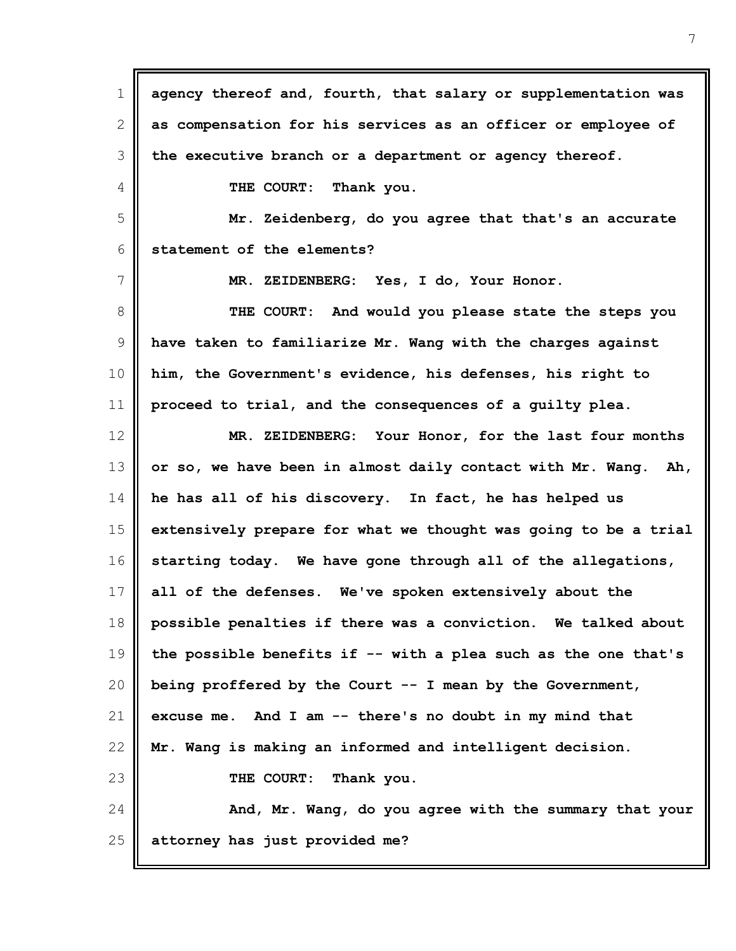| $\mathbf 1$    | agency thereof and, fourth, that salary or supplementation was  |
|----------------|-----------------------------------------------------------------|
| $\mathbf{2}$   | as compensation for his services as an officer or employee of   |
| 3              | the executive branch or a department or agency thereof.         |
| 4              | THE COURT: Thank you.                                           |
| 5              | Mr. Zeidenberg, do you agree that that's an accurate            |
| 6              | statement of the elements?                                      |
| $\overline{7}$ | MR. ZEIDENBERG: Yes, I do, Your Honor.                          |
| 8              | THE COURT: And would you please state the steps you             |
| $\mathsf 9$    | have taken to familiarize Mr. Wang with the charges against     |
| 10             | him, the Government's evidence, his defenses, his right to      |
| 11             | proceed to trial, and the consequences of a guilty plea.        |
| 12             | MR. ZEIDENBERG: Your Honor, for the last four months            |
| 13             | or so, we have been in almost daily contact with Mr. Wang. Ah,  |
| 14             | he has all of his discovery. In fact, he has helped us          |
| 15             | extensively prepare for what we thought was going to be a trial |
| 16             | starting today. We have gone through all of the allegations,    |
| 17             | all of the defenses. We've spoken extensively about the         |
| 18             | possible penalties if there was a conviction. We talked about   |
| 19             | the possible benefits if $-$ with a plea such as the one that's |
| 20             | being proffered by the Court -- I mean by the Government,       |
| 21             | excuse me. And I am -- there's no doubt in my mind that         |
| 22             | Mr. Wang is making an informed and intelligent decision.        |
| 23             | Thank you.<br>THE COURT:                                        |
| 24             | And, Mr. Wang, do you agree with the summary that your          |
| 25             | attorney has just provided me?                                  |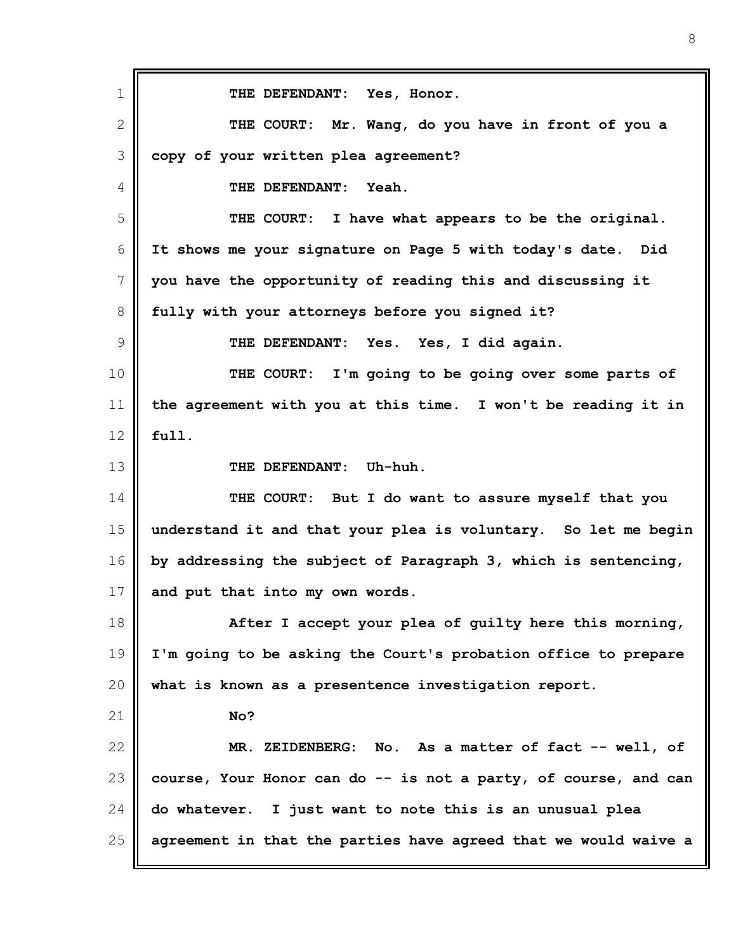1 2 3 4 5 6 7 8 9 10 11 12 13 14 15 16 17 18 19 20 21 22 23 24 25 **THE DEFENDANT: Yes, Honor. THE COURT: Mr. Wang, do you have in front of you a copy of your written plea agreement? THE DEFENDANT: Yeah. THE COURT: I have what appears to be the original. It shows me your signature on Page 5 with today's date. Did you have the opportunity of reading this and discussing it fully with your attorneys before you signed it? THE DEFENDANT: Yes. Yes, I did again. THE COURT: I'm going to be going over some parts of the agreement with you at this time. I won't be reading it in full. THE DEFENDANT: Uh-huh. THE COURT: But I do want to assure myself that you understand it and that your plea is voluntary. So let me begin by addressing the subject of Paragraph 3, which is sentencing, and put that into my own words. After I accept your plea of guilty here this morning, I'm going to be asking the Court's probation office to prepare what is known as a presentence investigation report. No? MR. ZEIDENBERG: No. As a matter of fact -- well, of course, Your Honor can do -- is not a party, of course, and can do whatever. I just want to note this is an unusual plea agreement in that the parties have agreed that we would waive a**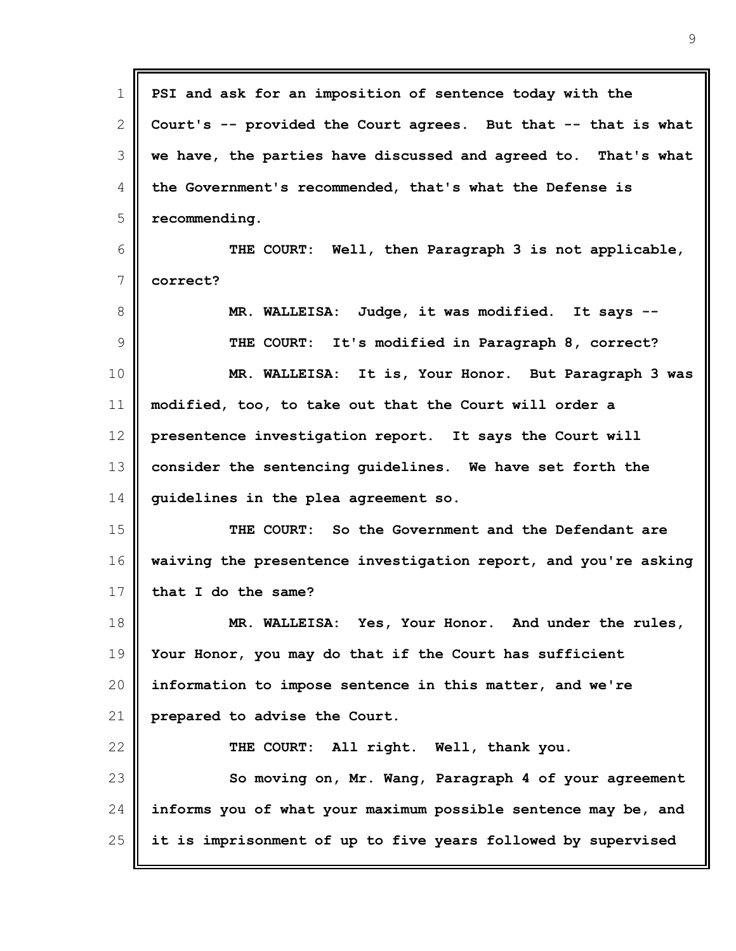| $\mathbf 1$    | PSI and ask for an imposition of sentence today with the        |
|----------------|-----------------------------------------------------------------|
| $\mathbf{2}$   | Court's -- provided the Court agrees. But that -- that is what  |
| 3              | we have, the parties have discussed and agreed to. That's what  |
| 4              | the Government's recommended, that's what the Defense is        |
| 5              | recommending.                                                   |
| 6              | THE COURT: Well, then Paragraph 3 is not applicable,            |
| $\overline{7}$ | correct?                                                        |
| 8              | MR. WALLEISA: Judge, it was modified. It says --                |
| 9              | THE COURT: It's modified in Paragraph 8, correct?               |
| 10             | MR. WALLEISA: It is, Your Honor. But Paragraph 3 was            |
| 11             | modified, too, to take out that the Court will order a          |
| 12             | presentence investigation report. It says the Court will        |
| 13             | consider the sentencing guidelines. We have set forth the       |
| 14             | guidelines in the plea agreement so.                            |
| 15             | THE COURT: So the Government and the Defendant are              |
| 16             | waiving the presentence investigation report, and you're asking |
| 17             | that I do the same?                                             |
| 18             | MR. WALLEISA: Yes, Your Honor. And under the rules,             |
| 19             | Your Honor, you may do that if the Court has sufficient         |
| 20             | information to impose sentence in this matter, and we're        |
| 21             | prepared to advise the Court.                                   |
| 22             | THE COURT: All right. Well, thank you.                          |
| 23             | So moving on, Mr. Wang, Paragraph 4 of your agreement           |
| 24             | informs you of what your maximum possible sentence may be, and  |
| 25             | it is imprisonment of up to five years followed by supervised   |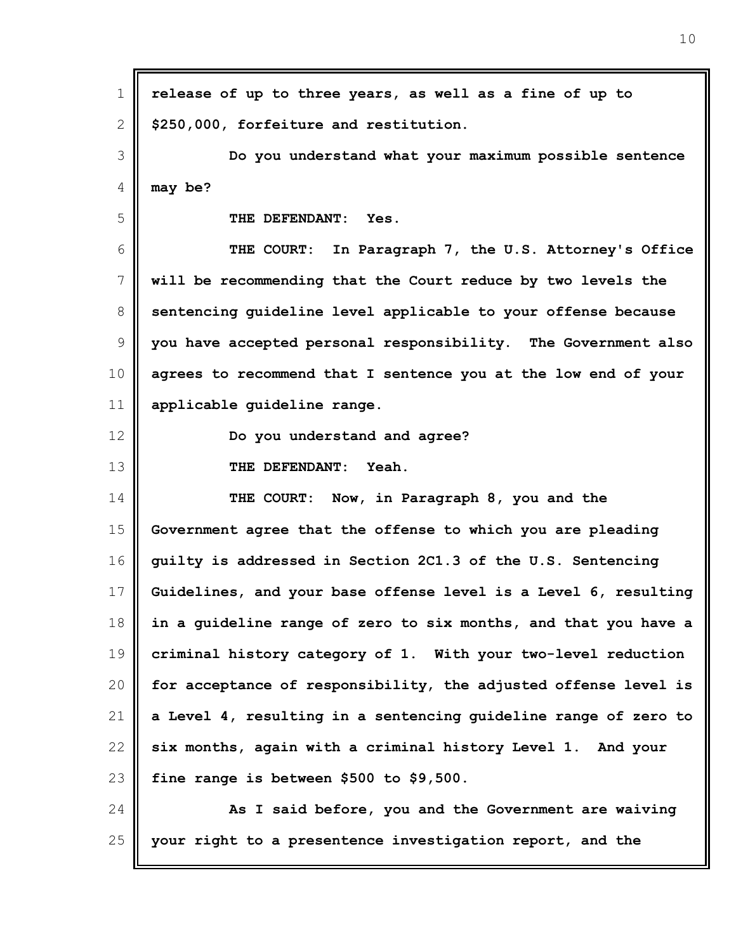| $\mathbf 1$  | release of up to three years, as well as a fine of up to        |
|--------------|-----------------------------------------------------------------|
| $\mathbf{2}$ | \$250,000, forfeiture and restitution.                          |
| 3            | Do you understand what your maximum possible sentence           |
| 4            | may be?                                                         |
| 5            | THE DEFENDANT:<br>Yes.                                          |
| 6            | THE COURT: In Paragraph 7, the U.S. Attorney's Office           |
| 7            | will be recommending that the Court reduce by two levels the    |
| 8            | sentencing guideline level applicable to your offense because   |
| 9            | you have accepted personal responsibility. The Government also  |
| 10           | agrees to recommend that I sentence you at the low end of your  |
| 11           | applicable guideline range.                                     |
| 12           | Do you understand and agree?                                    |
| 13           | THE DEFENDANT: Yeah.                                            |
| 14           | THE COURT: Now, in Paragraph 8, you and the                     |
| 15           | Government agree that the offense to which you are pleading     |
| 16           | guilty is addressed in Section 2C1.3 of the U.S. Sentencing     |
| 17           | Guidelines, and your base offense level is a Level 6, resulting |
| 18           | in a guideline range of zero to six months, and that you have a |
| 19           | criminal history category of 1. With your two-level reduction   |
| 20           | for acceptance of responsibility, the adjusted offense level is |
| 21           | a Level 4, resulting in a sentencing guideline range of zero to |
| 22           | six months, again with a criminal history Level 1. And your     |
| 23           | fine range is between \$500 to \$9,500.                         |
| 24           | As I said before, you and the Government are waiving            |
| 25           | your right to a presentence investigation report, and the       |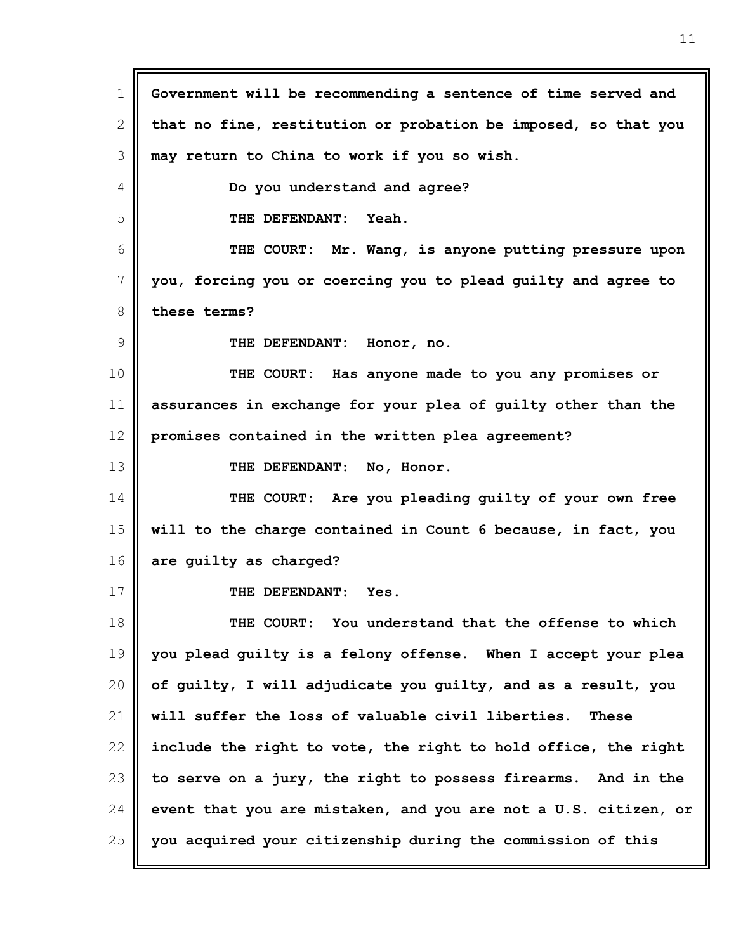1 2 3 4 5 6 7 8 9 10 11 12 13 14 15 16 17 18 19 20 21 22 23 24 25 **Government will be recommending a sentence of time served and that no fine, restitution or probation be imposed, so that you may return to China to work if you so wish. Do you understand and agree? THE DEFENDANT: Yeah. THE COURT: Mr. Wang, is anyone putting pressure upon you, forcing you or coercing you to plead guilty and agree to these terms? THE DEFENDANT: Honor, no. THE COURT: Has anyone made to you any promises or assurances in exchange for your plea of guilty other than the promises contained in the written plea agreement? THE DEFENDANT: No, Honor. THE COURT: Are you pleading guilty of your own free will to the charge contained in Count 6 because, in fact, you are guilty as charged? THE DEFENDANT: Yes. THE COURT: You understand that the offense to which you plead guilty is a felony offense. When I accept your plea of guilty, I will adjudicate you guilty, and as a result, you will suffer the loss of valuable civil liberties. These include the right to vote, the right to hold office, the right to serve on a jury, the right to possess firearms. And in the event that you are mistaken, and you are not a U.S. citizen, or you acquired your citizenship during the commission of this**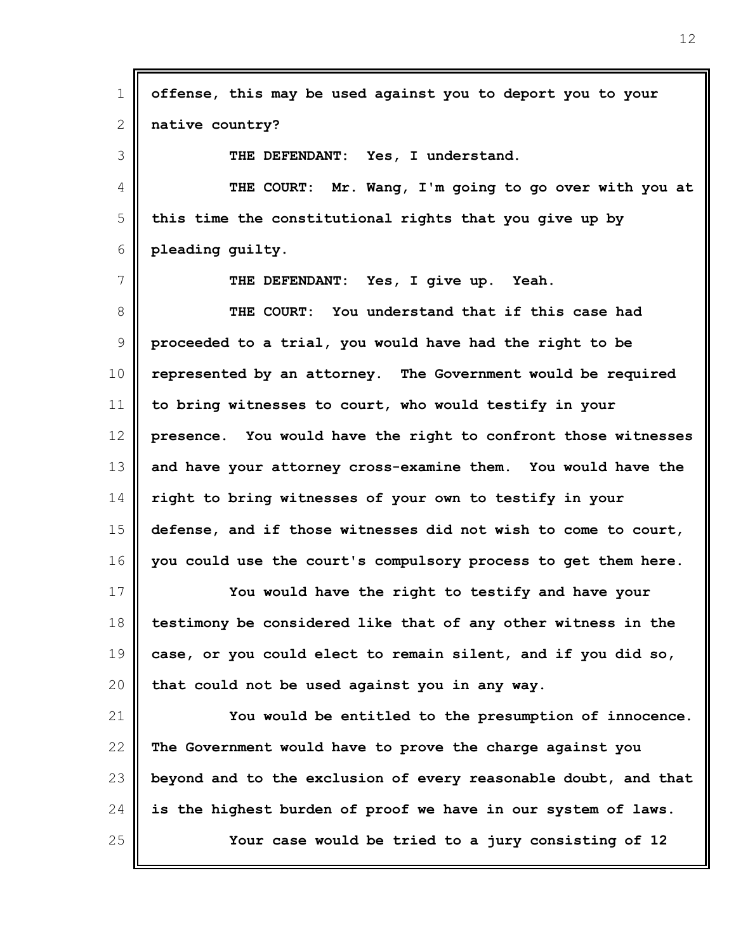| $\mathbf 1$  | offense, this may be used against you to deport you to your     |
|--------------|-----------------------------------------------------------------|
| $\mathbf{2}$ | native country?                                                 |
| 3            | Yes, I understand.<br>THE DEFENDANT:                            |
| 4            | THE COURT: Mr. Wang, I'm going to go over with you at           |
| 5            | this time the constitutional rights that you give up by         |
| 6            | pleading guilty.                                                |
| 7            | THE DEFENDANT: Yes, I give up. Yeah.                            |
| 8            | THE COURT: You understand that if this case had                 |
| $\mathsf 9$  | proceeded to a trial, you would have had the right to be        |
| 10           | represented by an attorney. The Government would be required    |
| 11           | to bring witnesses to court, who would testify in your          |
| 12           | presence. You would have the right to confront those witnesses  |
| 13           | and have your attorney cross-examine them. You would have the   |
| 14           | right to bring witnesses of your own to testify in your         |
| 15           | defense, and if those witnesses did not wish to come to court,  |
| 16           | you could use the court's compulsory process to get them here.  |
| 17           | You would have the right to testify and have your               |
| 18           | testimony be considered like that of any other witness in the   |
| 19           | case, or you could elect to remain silent, and if you did so,   |
| 20           | that could not be used against you in any way.                  |
| 21           | You would be entitled to the presumption of innocence.          |
| 22           | The Government would have to prove the charge against you       |
| 23           | beyond and to the exclusion of every reasonable doubt, and that |
| 24           | is the highest burden of proof we have in our system of laws.   |
| 25           | Your case would be tried to a jury consisting of 12             |
|              |                                                                 |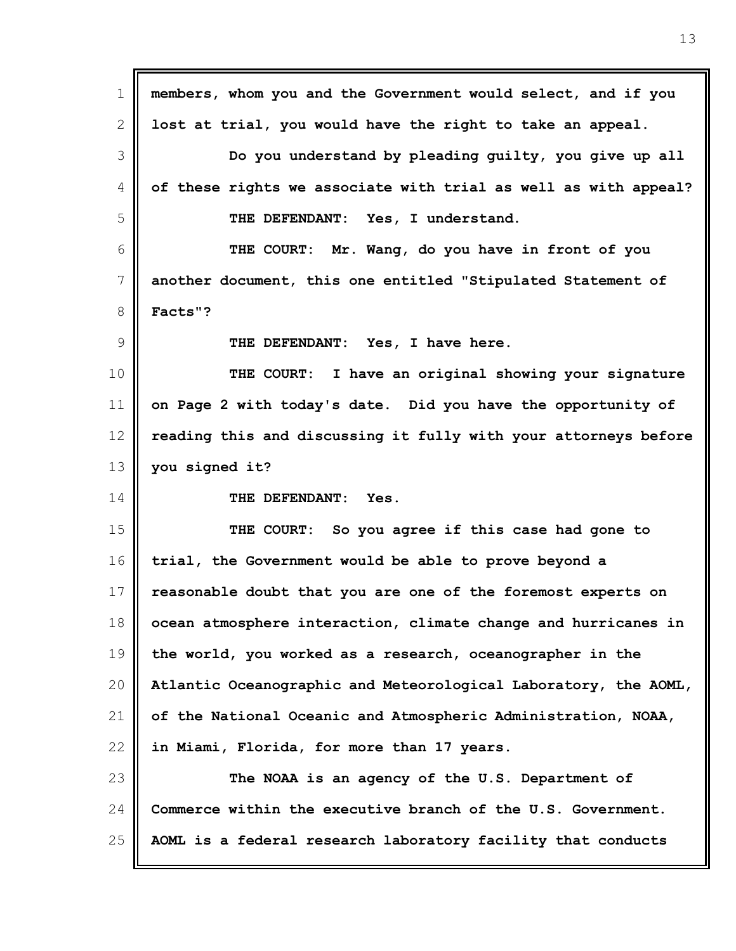| 1  | members, whom you and the Government would select, and if you   |
|----|-----------------------------------------------------------------|
| 2  | lost at trial, you would have the right to take an appeal.      |
| 3  | Do you understand by pleading guilty, you give up all           |
| 4  | of these rights we associate with trial as well as with appeal? |
| 5  | Yes, I understand.<br>THE DEFENDANT:                            |
| 6  | THE COURT: Mr. Wang, do you have in front of you                |
| 7  | another document, this one entitled "Stipulated Statement of    |
| 8  | Facts"?                                                         |
| 9  | THE DEFENDANT: Yes, I have here.                                |
| 10 | THE COURT: I have an original showing your signature            |
| 11 | on Page 2 with today's date. Did you have the opportunity of    |
| 12 | reading this and discussing it fully with your attorneys before |
| 13 | you signed it?                                                  |
| 14 | THE DEFENDANT:<br>Yes.                                          |
| 15 | THE COURT: So you agree if this case had gone to                |
| 16 | trial, the Government would be able to prove beyond a           |
| 17 | reasonable doubt that you are one of the foremost experts on    |
| 18 | ocean atmosphere interaction, climate change and hurricanes in  |
| 19 | the world, you worked as a research, oceanographer in the       |
| 20 | Atlantic Oceanographic and Meteorological Laboratory, the AOML, |
| 21 | of the National Oceanic and Atmospheric Administration, NOAA,   |
| 22 | in Miami, Florida, for more than 17 years.                      |
| 23 | The NOAA is an agency of the U.S. Department of                 |
| 24 | Commerce within the executive branch of the U.S. Government.    |
| 25 | AOML is a federal research laboratory facility that conducts    |

II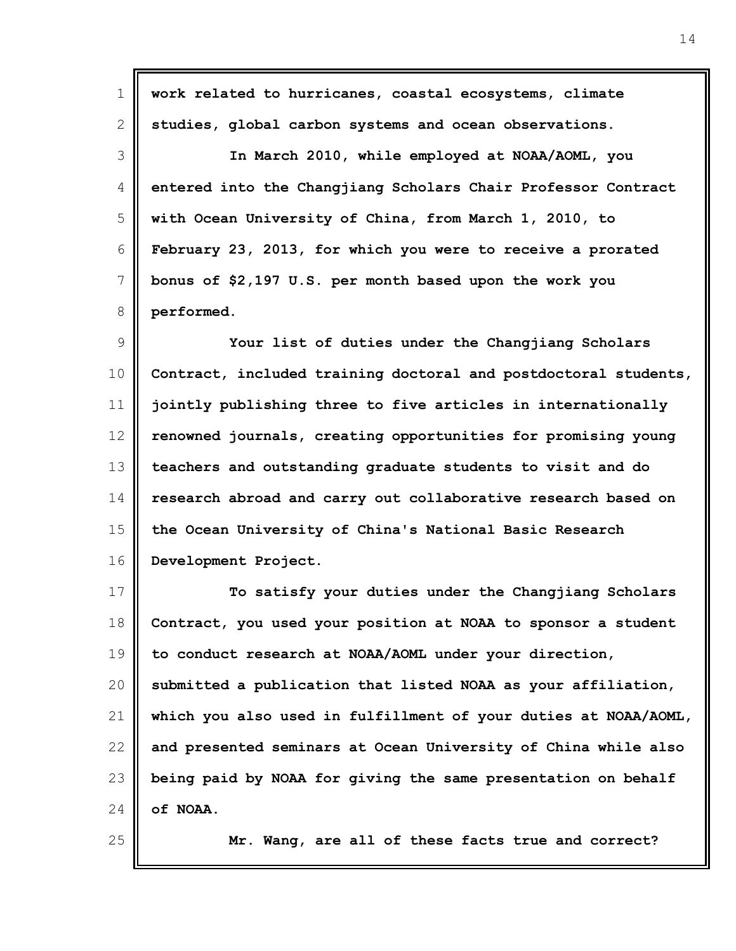| $\mathbf 1$    | work related to hurricanes, coastal ecosystems, climate         |
|----------------|-----------------------------------------------------------------|
| $\mathbf{2}$   | studies, global carbon systems and ocean observations.          |
| 3              | In March 2010, while employed at NOAA/AOML, you                 |
| 4              | entered into the Changjiang Scholars Chair Professor Contract   |
| 5              | with Ocean University of China, from March 1, 2010, to          |
| 6              | February 23, 2013, for which you were to receive a prorated     |
| $\overline{7}$ | bonus of \$2,197 U.S. per month based upon the work you         |
| $8\,$          | performed.                                                      |
| $\overline{9}$ | Your list of duties under the Changjiang Scholars               |
| 10             | Contract, included training doctoral and postdoctoral students, |
| 11             | jointly publishing three to five articles in internationally    |
| 12             | renowned journals, creating opportunities for promising young   |
| 13             | teachers and outstanding graduate students to visit and do      |
| 14             | research abroad and carry out collaborative research based on   |
| 15             | the Ocean University of China's National Basic Research         |
| 16             | Development Project.                                            |
| 17             | To satisfy your duties under the Changjiang Scholars            |
| 18             | Contract, you used your position at NOAA to sponsor a student   |
| 19             | to conduct research at NOAA/AOML under your direction,          |
| 20             | submitted a publication that listed NOAA as your affiliation,   |
| 21             | which you also used in fulfillment of your duties at NOAA/AOML, |
| 22             | and presented seminars at Ocean University of China while also  |
| 23             | being paid by NOAA for giving the same presentation on behalf   |
| 24             | of NOAA.                                                        |
| 25             | Mr. Wang, are all of these facts true and correct?              |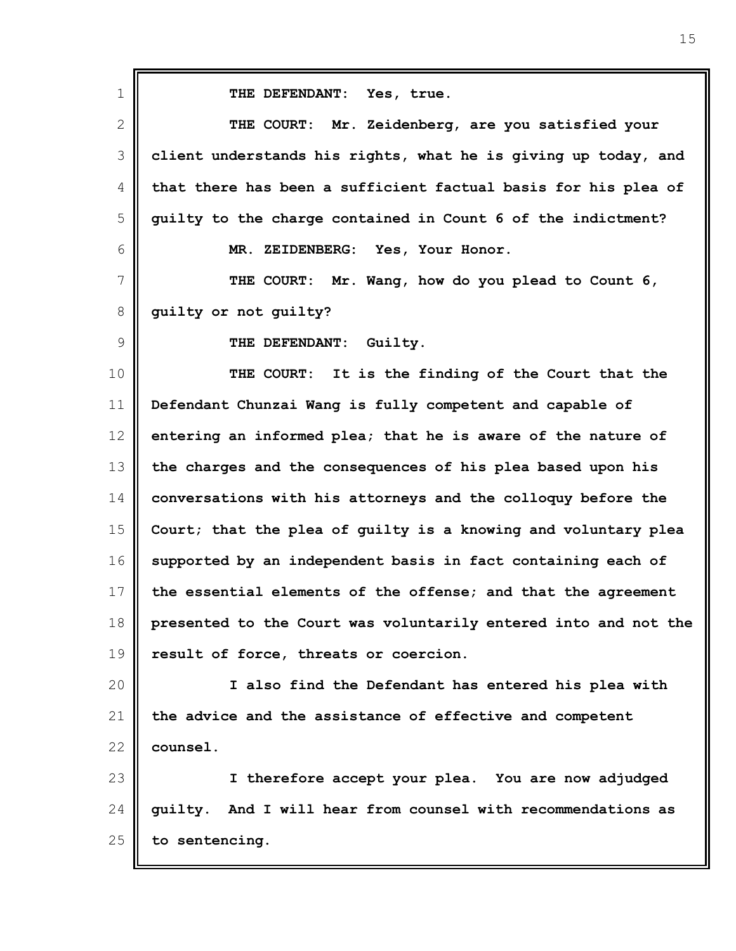| 1            | THE DEFENDANT:<br>Yes, true.                                    |
|--------------|-----------------------------------------------------------------|
| $\mathbf{2}$ | THE COURT: Mr. Zeidenberg, are you satisfied your               |
| 3            | client understands his rights, what he is giving up today, and  |
| 4            | that there has been a sufficient factual basis for his plea of  |
| 5            | guilty to the charge contained in Count 6 of the indictment?    |
| 6            | MR. ZEIDENBERG: Yes, Your Honor.                                |
| 7            | THE COURT: Mr. Wang, how do you plead to Count 6,               |
| 8            | guilty or not guilty?                                           |
| 9            | THE DEFENDANT:<br>Guilty.                                       |
| 10           | THE COURT: It is the finding of the Court that the              |
| 11           | Defendant Chunzai Wang is fully competent and capable of        |
| 12           | entering an informed plea; that he is aware of the nature of    |
| 13           | the charges and the consequences of his plea based upon his     |
| 14           | conversations with his attorneys and the colloquy before the    |
| 15           | Court; that the plea of guilty is a knowing and voluntary plea  |
| 16           | supported by an independent basis in fact containing each of    |
| 17           | the essential elements of the offense; and that the agreement   |
| 18           | presented to the Court was voluntarily entered into and not the |
| 19           | result of force, threats or coercion.                           |
| 20           | I also find the Defendant has entered his plea with             |
| 21           | the advice and the assistance of effective and competent        |
| 22           | counsel.                                                        |
| 23           | I therefore accept your plea. You are now adjudged              |
| 24           | And I will hear from counsel with recommendations as<br>quilty. |
| 25           | to sentencing.                                                  |
|              |                                                                 |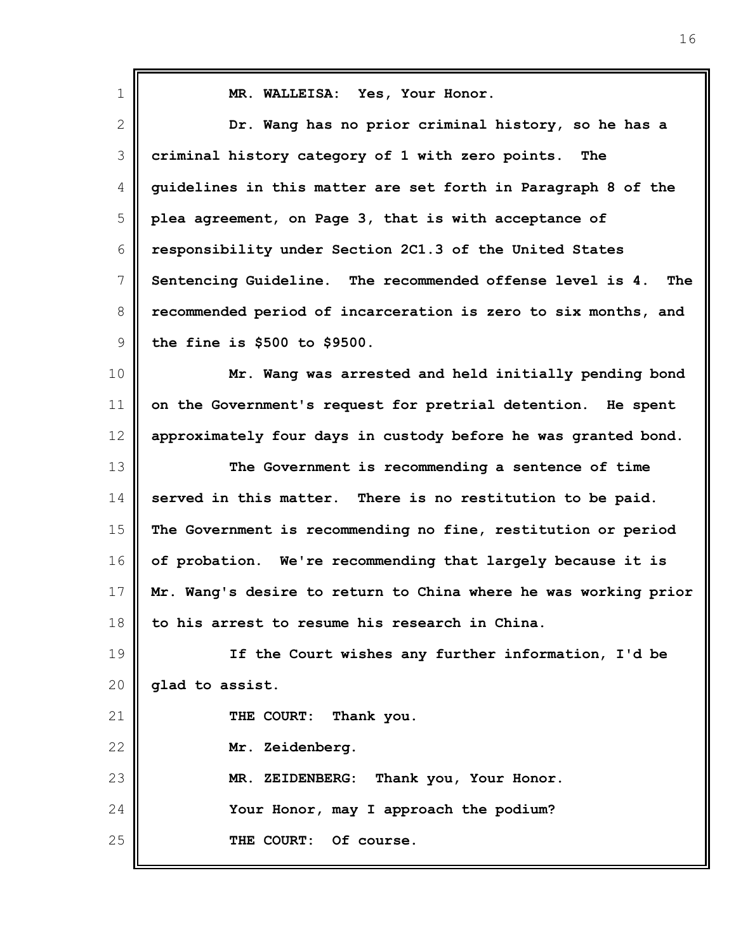| $\mathbf 1$     | MR. WALLEISA: Yes, Your Honor.                                   |
|-----------------|------------------------------------------------------------------|
| $\mathbf{2}$    | Dr. Wang has no prior criminal history, so he has a              |
| 3               | criminal history category of 1 with zero points.<br>The          |
| 4               | guidelines in this matter are set forth in Paragraph 8 of the    |
| 5               | plea agreement, on Page 3, that is with acceptance of            |
| 6               | responsibility under Section 2C1.3 of the United States          |
| $7\phantom{.0}$ | Sentencing Guideline. The recommended offense level is 4.<br>The |
| 8               | recommended period of incarceration is zero to six months, and   |
| $\mathsf 9$     | the fine is $$500$ to $$9500$ .                                  |
| 10              | Mr. Wang was arrested and held initially pending bond            |
| 11              | on the Government's request for pretrial detention. He spent     |
| 12              | approximately four days in custody before he was granted bond.   |
| 13              | The Government is recommending a sentence of time                |
| 14              | served in this matter. There is no restitution to be paid.       |
| 15              | The Government is recommending no fine, restitution or period    |
| 16              | of probation. We're recommending that largely because it is      |
| 17              | Mr. Wang's desire to return to China where he was working prior  |
| 18              | to his arrest to resume his research in China.                   |
| 19              | If the Court wishes any further information, I'd be              |
| 20              | glad to assist.                                                  |
| 21              | THE COURT:<br>Thank you.                                         |
| 22              | Mr. Zeidenberg.                                                  |
| 23              | MR. ZEIDENBERG: Thank you, Your Honor.                           |
| 24              | Your Honor, may I approach the podium?                           |
| 25              | THE COURT:<br>Of course.                                         |
|                 |                                                                  |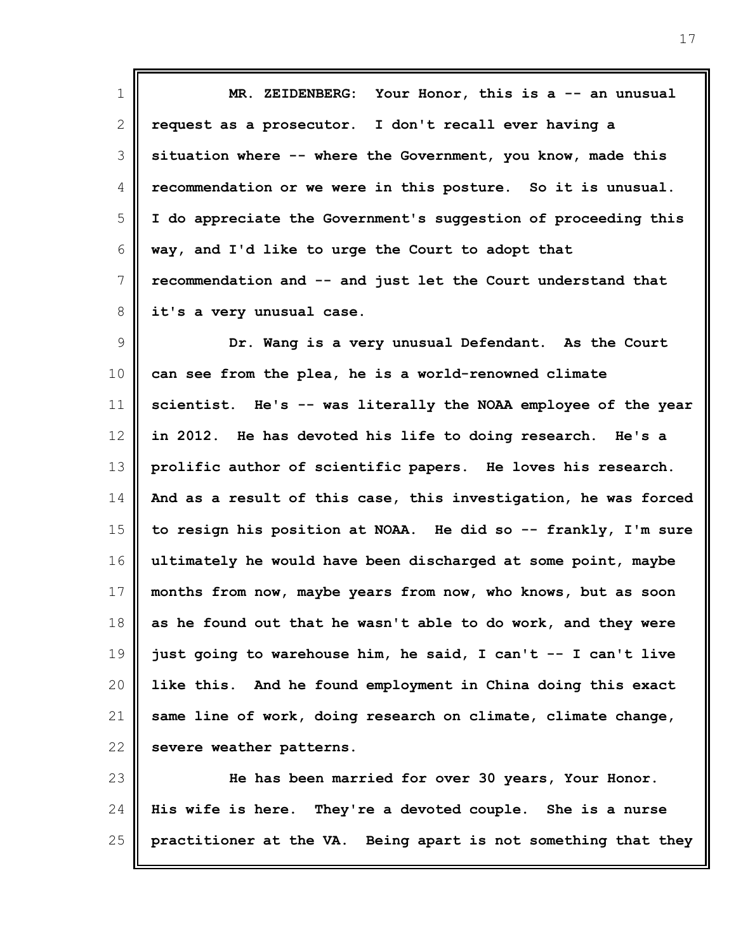1 2 3 4 5 6 7 8 **MR. ZEIDENBERG: Your Honor, this is a -- an unusual request as a prosecutor. I don't recall ever having a situation where -- where the Government, you know, made this recommendation or we were in this posture. So it is unusual. I do appreciate the Government's suggestion of proceeding this way, and I'd like to urge the Court to adopt that recommendation and -- and just let the Court understand that it's a very unusual case.**

9 10 11 12 13 14 15 16 17 18 19 20 21 22 **Dr. Wang is a very unusual Defendant. As the Court can see from the plea, he is a world-renowned climate scientist. He's -- was literally the NOAA employee of the year in 2012. He has devoted his life to doing research. He's a prolific author of scientific papers. He loves his research. And as a result of this case, this investigation, he was forced to resign his position at NOAA. He did so -- frankly, I'm sure ultimately he would have been discharged at some point, maybe months from now, maybe years from now, who knows, but as soon as he found out that he wasn't able to do work, and they were just going to warehouse him, he said, I can't -- I can't live like this. And he found employment in China doing this exact same line of work, doing research on climate, climate change, severe weather patterns.**

23 24 25 **He has been married for over 30 years, Your Honor. His wife is here. They're a devoted couple. She is a nurse practitioner at the VA. Being apart is not something that they**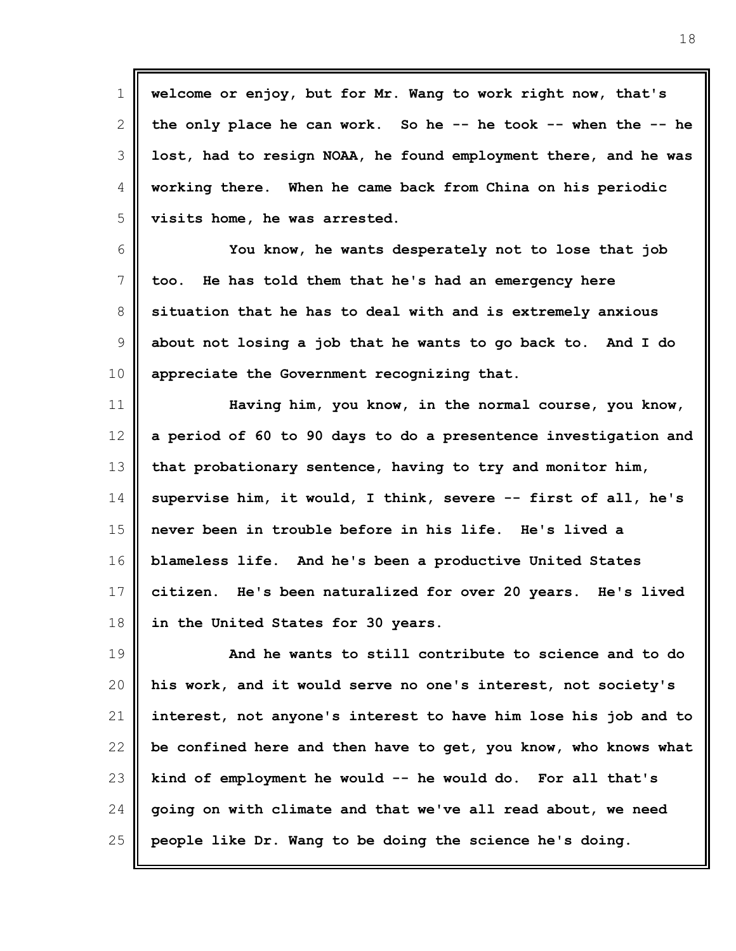1 2 3 4 5 **welcome or enjoy, but for Mr. Wang to work right now, that's the only place he can work. So he -- he took -- when the -- he lost, had to resign NOAA, he found employment there, and he was working there. When he came back from China on his periodic visits home, he was arrested.**

6 7 8 9 10 **You know, he wants desperately not to lose that job too. He has told them that he's had an emergency here situation that he has to deal with and is extremely anxious about not losing a job that he wants to go back to. And I do appreciate the Government recognizing that.**

11 12 13 14 15 16 17 18 **Having him, you know, in the normal course, you know, a period of 60 to 90 days to do a presentence investigation and that probationary sentence, having to try and monitor him, supervise him, it would, I think, severe -- first of all, he's never been in trouble before in his life. He's lived a blameless life. And he's been a productive United States citizen. He's been naturalized for over 20 years. He's lived in the United States for 30 years.**

19 20 21 22 23 24 25 **And he wants to still contribute to science and to do his work, and it would serve no one's interest, not society's interest, not anyone's interest to have him lose his job and to be confined here and then have to get, you know, who knows what kind of employment he would -- he would do. For all that's going on with climate and that we've all read about, we need people like Dr. Wang to be doing the science he's doing.**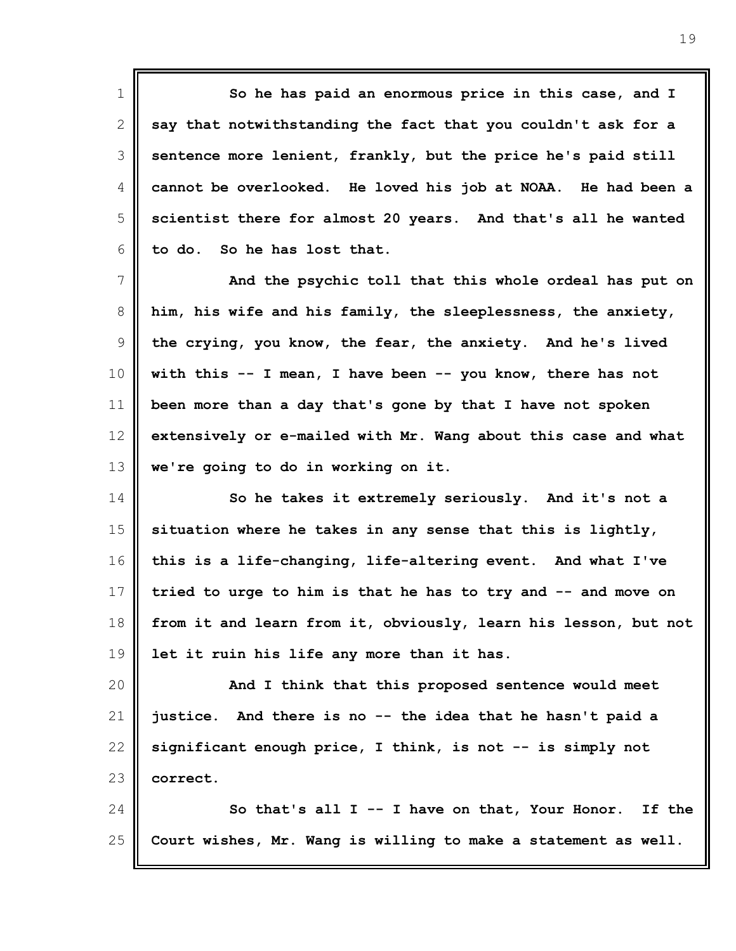1 2 3 4 5 6 **So he has paid an enormous price in this case, and I say that notwithstanding the fact that you couldn't ask for a sentence more lenient, frankly, but the price he's paid still cannot be overlooked. He loved his job at NOAA. He had been a scientist there for almost 20 years. And that's all he wanted to do. So he has lost that.**

7 8 9 10 11 12 13 **And the psychic toll that this whole ordeal has put on him, his wife and his family, the sleeplessness, the anxiety, the crying, you know, the fear, the anxiety. And he's lived with this -- I mean, I have been -- you know, there has not been more than a day that's gone by that I have not spoken extensively or e-mailed with Mr. Wang about this case and what we're going to do in working on it.**

14 15 16 17 18 19 **So he takes it extremely seriously. And it's not a situation where he takes in any sense that this is lightly, this is a life-changing, life-altering event. And what I've tried to urge to him is that he has to try and -- and move on from it and learn from it, obviously, learn his lesson, but not let it ruin his life any more than it has.**

20 21 22 23 **And I think that this proposed sentence would meet justice. And there is no -- the idea that he hasn't paid a significant enough price, I think, is not -- is simply not correct.**

24 25 **So that's all I -- I have on that, Your Honor. If the Court wishes, Mr. Wang is willing to make a statement as well.**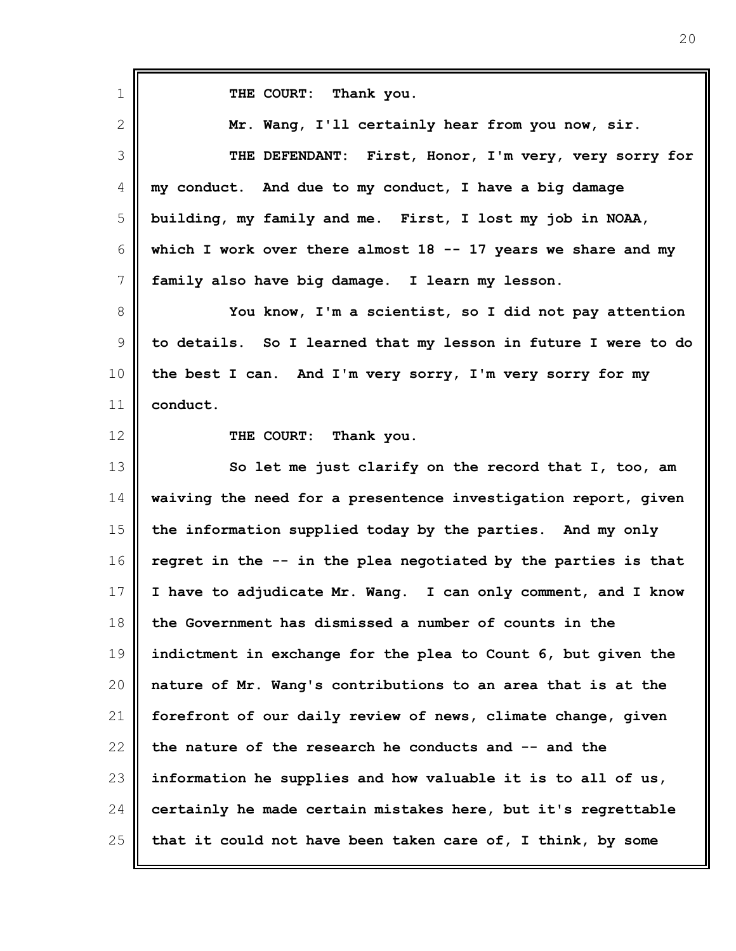1 2 3 4 5 6 7 8 9 10 11 12 13 14 15 16 17 18 19 20 21 22 23 24 25 **THE COURT: Thank you. Mr. Wang, I'll certainly hear from you now, sir. THE DEFENDANT: First, Honor, I'm very, very sorry for my conduct. And due to my conduct, I have a big damage building, my family and me. First, I lost my job in NOAA, which I work over there almost 18 -- 17 years we share and my family also have big damage. I learn my lesson. You know, I'm a scientist, so I did not pay attention to details. So I learned that my lesson in future I were to do the best I can. And I'm very sorry, I'm very sorry for my conduct. THE COURT: Thank you. So let me just clarify on the record that I, too, am waiving the need for a presentence investigation report, given the information supplied today by the parties. And my only regret in the -- in the plea negotiated by the parties is that I have to adjudicate Mr. Wang. I can only comment, and I know the Government has dismissed a number of counts in the indictment in exchange for the plea to Count 6, but given the nature of Mr. Wang's contributions to an area that is at the forefront of our daily review of news, climate change, given the nature of the research he conducts and -- and the information he supplies and how valuable it is to all of us, certainly he made certain mistakes here, but it's regrettable that it could not have been taken care of, I think, by some**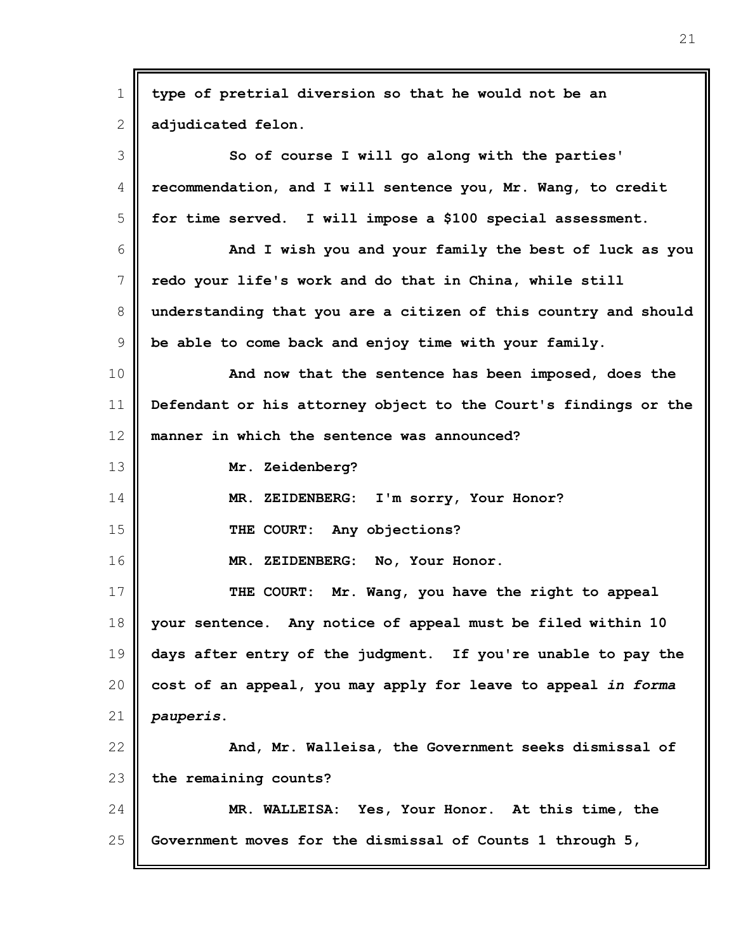| $\mathbf 1$   | type of pretrial diversion so that he would not be an           |
|---------------|-----------------------------------------------------------------|
| $\mathbf{2}$  | adjudicated felon.                                              |
| 3             | So of course I will go along with the parties'                  |
| 4             | recommendation, and I will sentence you, Mr. Wang, to credit    |
| 5             | for time served. I will impose a \$100 special assessment.      |
| 6             | And I wish you and your family the best of luck as you          |
| 7             | redo your life's work and do that in China, while still         |
| 8             | understanding that you are a citizen of this country and should |
| $\mathcal{G}$ | be able to come back and enjoy time with your family.           |
| 10            | And now that the sentence has been imposed, does the            |
| 11            | Defendant or his attorney object to the Court's findings or the |
| 12            | manner in which the sentence was announced?                     |
| 13            | Mr. Zeidenberg?                                                 |
| 14            | MR. ZEIDENBERG: I'm sorry, Your Honor?                          |
| 15            | THE COURT: Any objections?                                      |
| 16            | MR. ZEIDENBERG: No, Your Honor.                                 |
| 17            | Mr. Wang, you have the right to appeal<br>THE COURT:            |
| 18            | your sentence. Any notice of appeal must be filed within 10     |
| 19            | days after entry of the judgment. If you're unable to pay the   |
| 20            | cost of an appeal, you may apply for leave to appeal in forma   |
| 21            | pauperis.                                                       |
| 22            | And, Mr. Walleisa, the Government seeks dismissal of            |
| 23            | the remaining counts?                                           |
| 24            | MR. WALLEISA: Yes, Your Honor. At this time, the                |
| 25            | Government moves for the dismissal of Counts 1 through 5,       |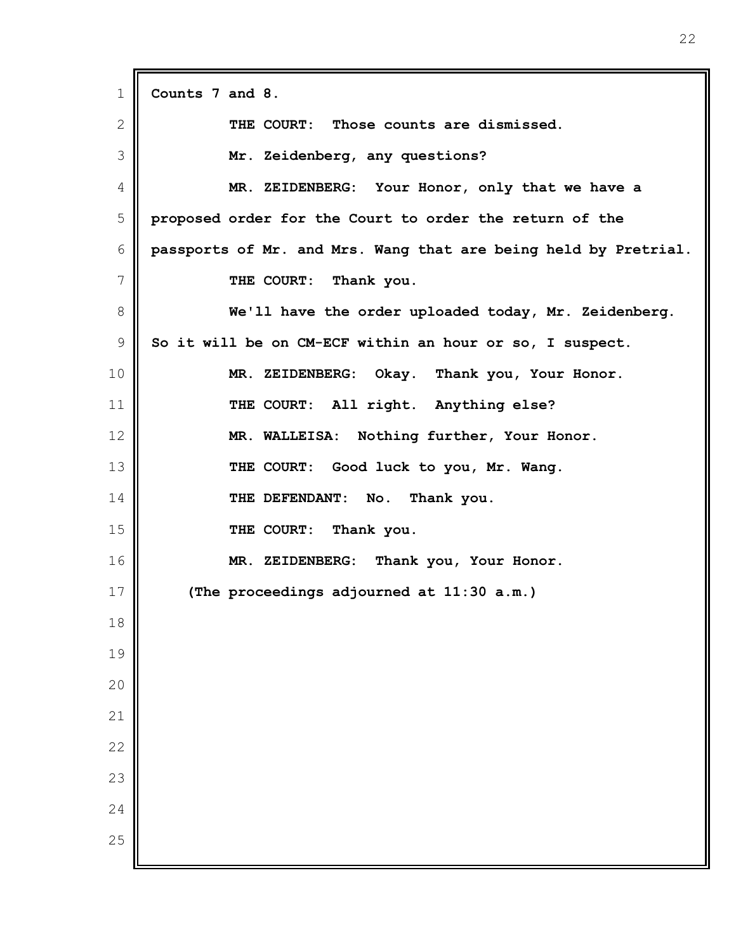**Counts 7 and 8. THE COURT: Those counts are dismissed. Mr. Zeidenberg, any questions? MR. ZEIDENBERG: Your Honor, only that we have a proposed order for the Court to order the return of the passports of Mr. and Mrs. Wang that are being held by Pretrial. THE COURT: Thank you. We'll have the order uploaded today, Mr. Zeidenberg. So it will be on CM-ECF within an hour or so, I suspect. MR. ZEIDENBERG: Okay. Thank you, Your Honor. THE COURT: All right. Anything else? MR. WALLEISA: Nothing further, Your Honor. THE COURT: Good luck to you, Mr. Wang. THE DEFENDANT: No. Thank you. THE COURT: Thank you. MR. ZEIDENBERG: Thank you, Your Honor. (The proceedings adjourned at 11:30 a.m.)**